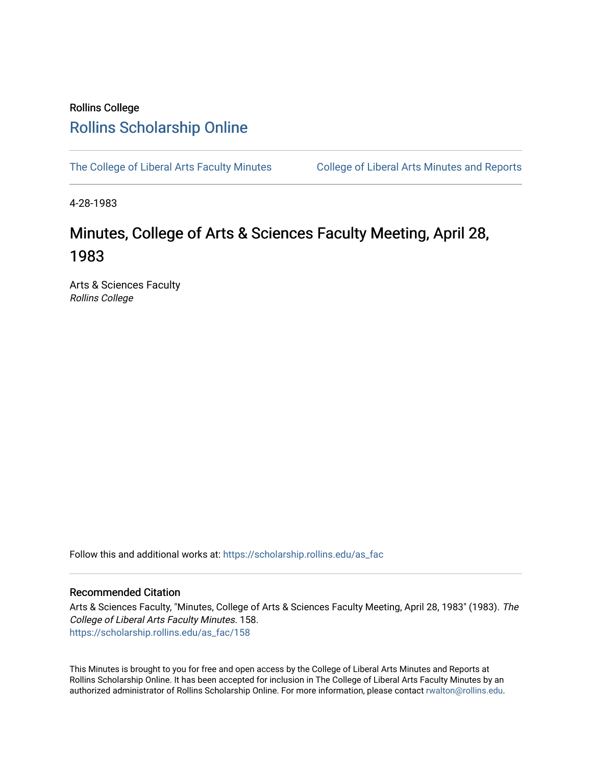## Rollins College [Rollins Scholarship Online](https://scholarship.rollins.edu/)

[The College of Liberal Arts Faculty Minutes](https://scholarship.rollins.edu/as_fac) College of Liberal Arts Minutes and Reports

4-28-1983

# Minutes, College of Arts & Sciences Faculty Meeting, April 28, 1983

Arts & Sciences Faculty Rollins College

Follow this and additional works at: [https://scholarship.rollins.edu/as\\_fac](https://scholarship.rollins.edu/as_fac?utm_source=scholarship.rollins.edu%2Fas_fac%2F158&utm_medium=PDF&utm_campaign=PDFCoverPages) 

## Recommended Citation

Arts & Sciences Faculty, "Minutes, College of Arts & Sciences Faculty Meeting, April 28, 1983" (1983). The College of Liberal Arts Faculty Minutes. 158. [https://scholarship.rollins.edu/as\\_fac/158](https://scholarship.rollins.edu/as_fac/158?utm_source=scholarship.rollins.edu%2Fas_fac%2F158&utm_medium=PDF&utm_campaign=PDFCoverPages) 

This Minutes is brought to you for free and open access by the College of Liberal Arts Minutes and Reports at Rollins Scholarship Online. It has been accepted for inclusion in The College of Liberal Arts Faculty Minutes by an authorized administrator of Rollins Scholarship Online. For more information, please contact [rwalton@rollins.edu](mailto:rwalton@rollins.edu).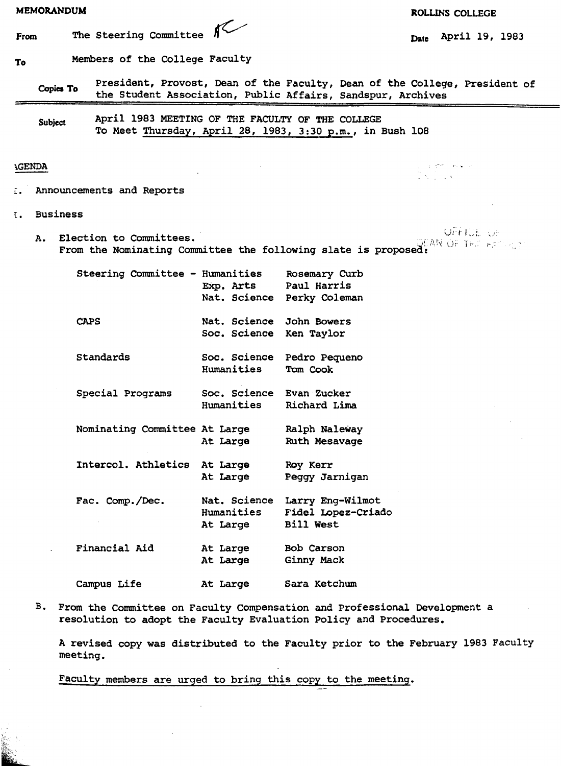| The Steering Committee $K$<br>Members of the College Faculty<br>Announcements and Reports |                                                     | President, Provost, Dean of the Faculty, Dean of the College, President of<br>the Student Association, Public Affairs, Sandspur, Archives<br>April 1983 MEETING OF THE FACULTY OF THE COLLEGE<br>To Meet Thursday, April 28, 1983, 3:30 p.m., in Bush 108 | April 19, 1983<br>Date<br>$\begin{array}{l} \mathbb{E} \left[ \begin{array}{cc} \mathbb{E} & \mathbb{E}^{\mathbb{E}} \mathbb{E}^{\mathbb{E}} \\ \mathbb{E}^{\mathbb{E}} & \mathbb{E}^{\mathbb{E}} \end{array} \right] & \mathbb{E}^{\mathbb{E}} \left[ \begin{array}{cc} \mathbb{E}^{\mathbb{E}} \mathbb{E}^{\mathbb{E}} & \mathbb{E}^{\mathbb{E}} \mathbb{E}^{\mathbb{E}} \end{array} \right] & \mathbb{E}^{\mathbb{E}} \left[ \begin{array}{cc} \mathbb{E}^{\mathbb{E}} \mathbb{E}$ |
|-------------------------------------------------------------------------------------------|-----------------------------------------------------|-----------------------------------------------------------------------------------------------------------------------------------------------------------------------------------------------------------------------------------------------------------|---------------------------------------------------------------------------------------------------------------------------------------------------------------------------------------------------------------------------------------------------------------------------------------------------------------------------------------------------------------------------------------------------------------------------------------------------------------------------------------|
|                                                                                           |                                                     |                                                                                                                                                                                                                                                           |                                                                                                                                                                                                                                                                                                                                                                                                                                                                                       |
|                                                                                           |                                                     |                                                                                                                                                                                                                                                           |                                                                                                                                                                                                                                                                                                                                                                                                                                                                                       |
|                                                                                           |                                                     |                                                                                                                                                                                                                                                           |                                                                                                                                                                                                                                                                                                                                                                                                                                                                                       |
|                                                                                           |                                                     |                                                                                                                                                                                                                                                           |                                                                                                                                                                                                                                                                                                                                                                                                                                                                                       |
|                                                                                           |                                                     |                                                                                                                                                                                                                                                           |                                                                                                                                                                                                                                                                                                                                                                                                                                                                                       |
|                                                                                           |                                                     |                                                                                                                                                                                                                                                           |                                                                                                                                                                                                                                                                                                                                                                                                                                                                                       |
|                                                                                           |                                                     |                                                                                                                                                                                                                                                           |                                                                                                                                                                                                                                                                                                                                                                                                                                                                                       |
| Election to Committees.                                                                   |                                                     | From the Nominating Committee the following slate is proposed:                                                                                                                                                                                            | <b>OFFICE</b> OF<br>QEAN OF THE EASTERD                                                                                                                                                                                                                                                                                                                                                                                                                                               |
| Steering Committee - Humanities                                                           | Exp. Arts                                           | Rosemary Curb<br>Paul Harris<br>Nat. Science Perky Coleman                                                                                                                                                                                                |                                                                                                                                                                                                                                                                                                                                                                                                                                                                                       |
|                                                                                           | Nat. Science John Bowers<br>Soc. Science Ken Taylor |                                                                                                                                                                                                                                                           |                                                                                                                                                                                                                                                                                                                                                                                                                                                                                       |
| Standards                                                                                 | Soc. Science<br>Humanities                          | Pedro Pequeno<br>Tom Cook                                                                                                                                                                                                                                 |                                                                                                                                                                                                                                                                                                                                                                                                                                                                                       |
| Special Programs                                                                          | Soc. Science Evan Zucker<br>Humanities              | Richard Lima                                                                                                                                                                                                                                              |                                                                                                                                                                                                                                                                                                                                                                                                                                                                                       |
| Nominating Committee At Large                                                             | At Large                                            | Ralph Naleway<br>Ruth Mesavage                                                                                                                                                                                                                            |                                                                                                                                                                                                                                                                                                                                                                                                                                                                                       |
|                                                                                           |                                                     | Roy Kerr<br>Peggy Jarnigan                                                                                                                                                                                                                                |                                                                                                                                                                                                                                                                                                                                                                                                                                                                                       |
| Fac. Comp./Dec.                                                                           |                                                     | Larry Eng-Wilmot<br>Fidel Lopez-Criado<br>Bill West                                                                                                                                                                                                       |                                                                                                                                                                                                                                                                                                                                                                                                                                                                                       |
| Financial Aid                                                                             |                                                     | Bob Carson<br>Ginny Mack                                                                                                                                                                                                                                  |                                                                                                                                                                                                                                                                                                                                                                                                                                                                                       |
|                                                                                           |                                                     | Sara Ketchum                                                                                                                                                                                                                                              |                                                                                                                                                                                                                                                                                                                                                                                                                                                                                       |
|                                                                                           | Campus Life                                         | Intercol. Athletics At Large<br>At Large<br>Humanities<br>At Large<br>At Large<br>At Large<br>At Large                                                                                                                                                    | Nat. Science<br>From the Committee on Faculty Compensation and Professional Development a                                                                                                                                                                                                                                                                                                                                                                                             |

A revised copy was distributed to the Faculty prior to the February 1983 Faculty meeting.

Faculty members are urged to bring this copy to the meeting.

 $\bar{z}$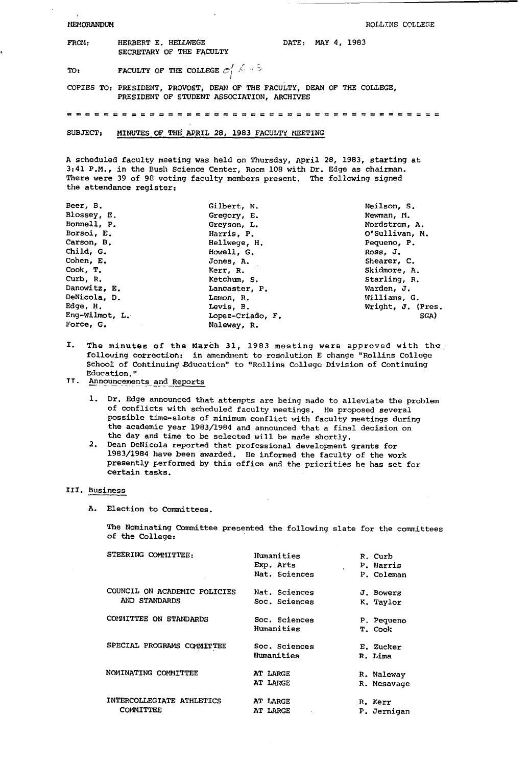MEMORANDUM

ROLLINS COLLEGE

| <b>FROM:</b> | HERBERT E. HELLWEGE<br>SECRETARY OF THE FACULTY                          | DATE: MAY 4, 1983 |  |
|--------------|--------------------------------------------------------------------------|-------------------|--|
| TO:          | <b>FACULTY OF THE COLLEGE <math>\sigma_1' \leq \sigma_2</math></b>       |                   |  |
|              | COPIES TO: PRESIDENT, PROVOST, DEAN OF THE FACULTY, DEAN OF THE COLLEGE, |                   |  |

PRESIDENT OF STUDENT ASSOCIATION, ARCHIVES

= = = = = = = = = = = = = = = = = = = = = = = = = = = = = = = = = = =

SUBJECT: MINUTES OF THE APRIL 28, 1983 FACULTY MEETING

A scheduled faculty meeting was held on Thursday, April 28, 1983, starting at 3:41 P.M., in the Bush Science Center, Room 108 with Dr. Edge as chairman. There were 39 of 98 voting faculty members present. The following signed the attendance register:

| Beer, B.       | Gilbert, N.      | Neilson, S.       |
|----------------|------------------|-------------------|
| Blossey, E.    | Gregory, E.      | Newman, M.        |
| Bonnell, P.    | Greyson, L.      | Nordstrom, A.     |
| Borsoi, E.     | Harris, P.       | O'Sullivan, M.    |
| Carson, B.     | Hellwege, H.     | Pequeno, P.       |
| Child, G.      | Howell, G.       | Ross, J.          |
| Cohen, E.      | Jones, A.        | Shearer, C.       |
| Cook, T.       | Kerr, R.         | Skidmore, A.      |
| Curb, R.       | Ketchum, S.      | Starling, R.      |
| Danowitz, E.   | Lancaster, P.    | Warden, J.        |
| DeNicola, D.   | Lemon, R.        | Williams, G.      |
| Edge, H.       | Levis, B.        | Wright, J. (Pres. |
| Eng-Wilmot, L. | Lopez-Criado, F. | SGA)              |
| Force, G.      | Naleway, R.      |                   |

- I. The minutes of the March 31, 1983 meeting were approved with the following correction: in amendment to resolution E change "Rollins College School of Cohtinuing Education" to "Rollins College Division of Continuing Education."
- TT. Announcements and Reports
	- 1. Dr. Edge announced that attempts are being made to alleviate the problem of conflicts with scheduled faculty meetings. He proposed several possible time-slots of minimum conflict with faculty meetings during the academic year 1983/1984 and announced that a final decision on the day and time to be selected will be made shortly.
	- 2. Dean DeNicola reported that professional development grants for 1983/1984 have been awarded. Ile informed the faculty of the work presently performed by this office and the priorities he has set for certain tasks.

### III. Business

A. Election to Committees.

The Nominating Committee presented the following slate for the committees of the College:

| STEERING COMMITTEE:                           | Humanities<br>Exp. Arts<br>Nat. Sciences | R. Curb<br>P. Harris<br>P. Coleman |
|-----------------------------------------------|------------------------------------------|------------------------------------|
| COUNCIL ON ACADEMIC POLICIES<br>AND STANDARDS | Nat. Sciences<br>Soc. Sciences           | J. Bowers<br>K. Taylor             |
| COMMITTEE ON STANDARDS                        | Soc. Sciences<br>Humanities              | P. Pequeno<br>T. Cook              |
| SPECIAL PROGRAMS COMMITTEE                    | Soc. Sciences<br>Humanities              | E. Zucker<br>R. Lima               |
| NOMINATING COMMITTEE                          | AT LARGE<br>AT LARGE                     | R. Naleway<br>R. Mesavage          |
| INTERCOLLEGIATE ATHLETICS<br>COMMITTEE        | AT LARGE<br><b>AT LARGE</b>              | R. Kerr<br>P. Jernigan             |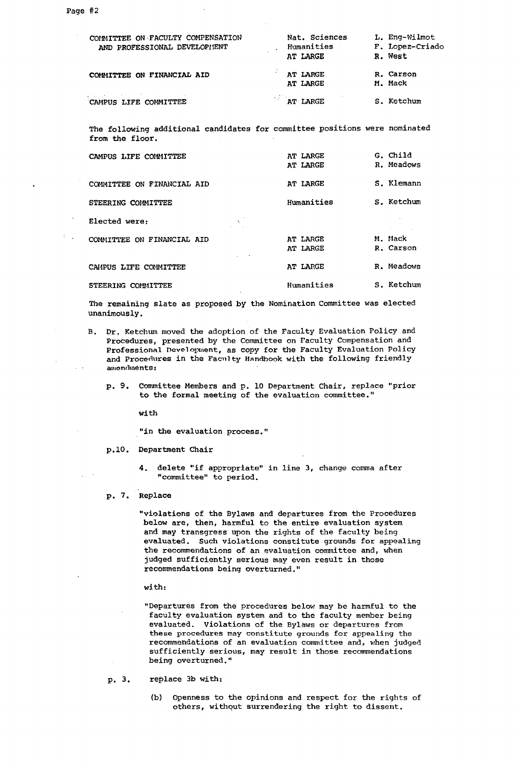£.

| COMMITTEE ON FACULTY COMPENSATION<br>AND PROFESSIONAL DEVELOPHENT                             | Nat. Sciences<br>Humanities<br>AT LARGE | L. Eng-Wilmot<br>F. Lopez-Criado<br>R. West |
|-----------------------------------------------------------------------------------------------|-----------------------------------------|---------------------------------------------|
| COMMITTEE ON FINANCIAL AID                                                                    | AT LARGE<br>AT LARGE                    | R. Carson<br>M. Mack                        |
| and the second control of the control of the<br>CAMPUS LIFE COMMITTEE                         | AT LARGE                                | S. Ketchum                                  |
| The following additional candidates for committee positions were nominated<br>from the floor. |                                         |                                             |
| CAMPUS LIFE COMMITTEE                                                                         | AT LARGE<br>AT LABCE                    | G. Child<br>R. Meadows                      |

|                            | AT LARGE             | R. Meadows           |
|----------------------------|----------------------|----------------------|
| COMMITTEE ON FINANCIAL AID | AT LARGE             | S. Klemann           |
| STEERING COMMITTEE         | Humanities           | S. Ketchum           |
| Elected were:<br>÷,        |                      |                      |
| COMMITTEE ON FINANCIAL AID | AT LARGE<br>AT LARGE | M. Mack<br>R. Carson |
| CAMPUS LIFE COMMITTEE      | AT LARGE             | R. Meadows           |
| STEERING COMMITTEE         | Humanities           | S. Ketchum           |

The remaining slate as proposed by the Nomination Committee was elected unanimously.

- B. Dr. Ketchum moved the adoption of the Faculty Evaluation Policy and Procedures, presented by the Committee on Faculty Compensation and Professional Development, as copy for the Faculty Evaluation Policy and Procedures in the Faculty Handbook with the following friendly **amendments:** 
	- p. 9. Committee Members and p. 10 Department Chair, replace "prior to the formal meeting of the evaluation committee."

**with** 

"in the evaluation process."

- p.10. Department Chair
	- 4. delete "if appropriate" in line 3, change comma after "committee" to period.
- p. 7. Replace

"violations of the Bylaws and departures from the Procedures below are, then, harmful to the entire evaluation system and may transgress upon the rights of the faculty being evaluated. Such violations constitute grounds for appealing the recommendations of an evaluation committee and, when judged sufficiently serious may even result in those recommendations being overturned."

**with:** 

"Departures from the procedures below may be harmful to the faculty evaluation system and to the faculty member being evaluated. Violations of the Bylaws or departures from these procedures may constitute grounds for appealing the recommendations of an evaluation committee and, when judged sufficiently serious, may result in those recommendations being overturned."

p. 3. replace 3b with:

> (b) Openness to the opinions and respect for the rights of others, withqut surrendering the right to dissent.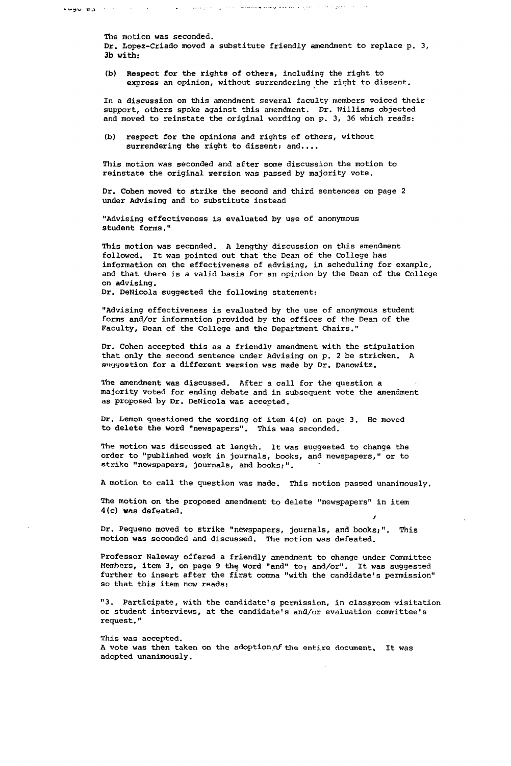الرجراء المرادة المعمرة فالمدافع فالإملاء وتستسمع بالمدلدان المالور للبيد  $\mathbf{A} = \left\{ \begin{array}{ll} \mathbf{A} & \mathbf{B} & \mathbf{B} & \mathbf{B} \\ \mathbf{B} & \mathbf{B} & \mathbf{B} & \mathbf{B} \end{array} \right. \quad \text{and} \quad \mathbf{B} = \left\{ \begin{array}{ll} \mathbf{A} & \mathbf{B} & \mathbf{B} \\ \mathbf{B} & \mathbf{B} & \mathbf{B} \end{array} \right.$  $\sim$ 

The motion was seconded.

Dr. Lopez-Criado moved a substitute friendly amendment to replace p. 3, 3b with:

(b) Respect for the rights of others, including the right to express an opinion, without surrendering the right to dissent.

In a discussion on this amendment several faculty members voiced their support, others spoke against this amendment. Dr. Nilliams objected and moved to reinstate the original wording on p. 3, 36 which reads:

(b) respect for the opinions and rights of others, without surrendering the right to dissent; and....

This motion was seconded and after some discussion the motion to reinstate the original version was passed by majority vote.

Dr. Cohen moved to strike the second and third sentences on page 2 under Advising and to substitute instead

"Advising effectiveness is evaluated *by* use of anonymous student forms."

This motion was seconded. A lengthy discussion on this amendment followed. It was pointed out that the Dean of the College has information on the effectiveness of advising, in scheduling for example, and that there is a valid basis for an opinion by the Dean of the College on advising.

Dr. DeNicola suggested the following statement:

"Advising effectiveness is evaluated by the use of anonymous student forms and/or information provided by the offices of the Dean of the Faculty, Dean of the College and the Department Chairs."

Dr. Cohen accepted this as a friendly amendment with the stipulation that only the second sentence under Advising on p. 2 be stricken. A Ruyyestion for a different :version was made *by* Dr. Danowitz.

The amendment was discussed. After a call for the question a majority voted for ending debate and in subsequent vote the amendment as proposed by Dr. DeNicola was accepted.

Dr. Lemon questioned the wording of item 4(c) on page 3. He moved to delete the word "newspapers". This was seconded.

The motion was discussed at length. It was suggested to change the order to "published work in journals, books, and newspapers," or to strike "newspapers, journals, and books;".

A motion to call the question was made. This motion passed unanimously.

The motion on the proposed amendment to delete "newspapers" in item 4(c) **was** defeated.

Dr. Pequeno moved to strike "newspapers, journals, and books;". This motion was seconded and discussed. The motion was defeated.

Professor Naleway offered a friendly amendment to change under Committee Members, item 3, on page 9 the word "and" to: and/or". It was suggested further to insert after the first comma "with the candidate's permission" so that this item now reads:

"3. Participate, with the candidate's permission, in classroom visitation or student interviews, at the candidate's and/or evaluation committee's request."

This was accepted.

A vote was then taken on the adoption of the entire document, It was adopted unanimously.